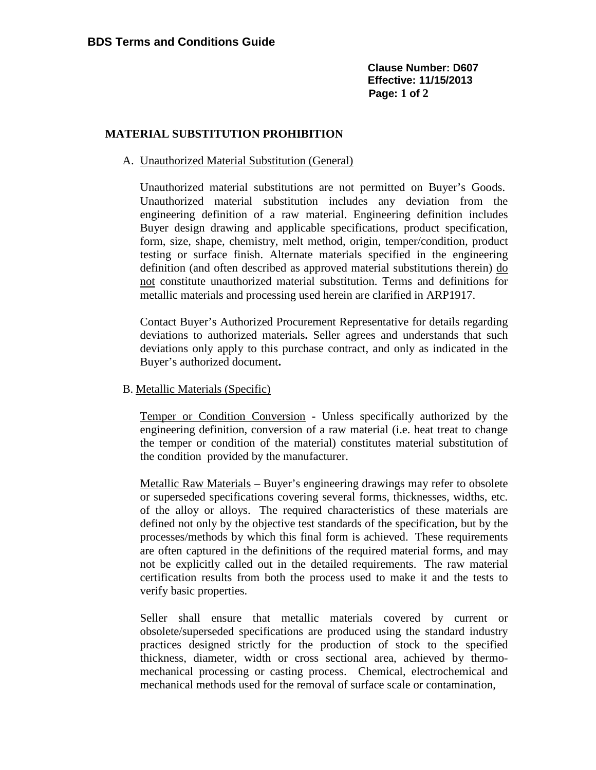**Clause Number: D607 Effective: 11/15/2013 Page: 1 of 2**

## **MATERIAL SUBSTITUTION PROHIBITION**

## A. Unauthorized Material Substitution (General)

Unauthorized material substitutions are not permitted on Buyer's Goods. Unauthorized material substitution includes any deviation from the engineering definition of a raw material. Engineering definition includes Buyer design drawing and applicable specifications, product specification, form, size, shape, chemistry, melt method, origin, temper/condition, product testing or surface finish. Alternate materials specified in the engineering definition (and often described as approved material substitutions therein) do not constitute unauthorized material substitution. Terms and definitions for metallic materials and processing used herein are clarified in ARP1917.

Contact Buyer's Authorized Procurement Representative for details regarding deviations to authorized materials**.** Seller agrees and understands that such deviations only apply to this purchase contract, and only as indicated in the Buyer's authorized document**.** 

## B. Metallic Materials (Specific)

Temper or Condition Conversion **-** Unless specifically authorized by the engineering definition, conversion of a raw material (i.e. heat treat to change the temper or condition of the material) constitutes material substitution of the condition provided by the manufacturer.

Metallic Raw Materials – Buyer's engineering drawings may refer to obsolete or superseded specifications covering several forms, thicknesses, widths, etc. of the alloy or alloys. The required characteristics of these materials are defined not only by the objective test standards of the specification, but by the processes/methods by which this final form is achieved. These requirements are often captured in the definitions of the required material forms, and may not be explicitly called out in the detailed requirements. The raw material certification results from both the process used to make it and the tests to verify basic properties.

Seller shall ensure that metallic materials covered by current or obsolete/superseded specifications are produced using the standard industry practices designed strictly for the production of stock to the specified thickness, diameter, width or cross sectional area, achieved by thermomechanical processing or casting process. Chemical, electrochemical and mechanical methods used for the removal of surface scale or contamination,